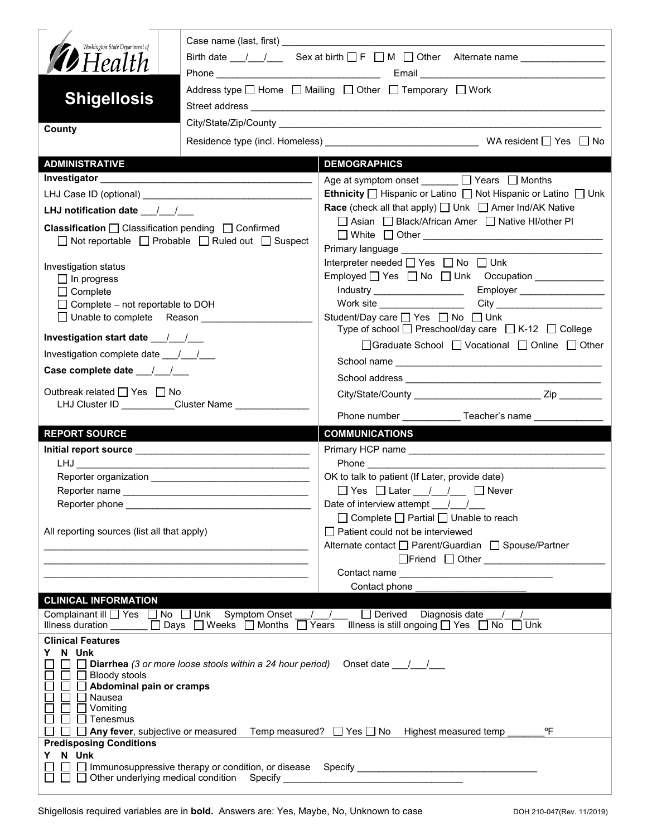| Washington State Department of<br><b>D</b> Health                                                                                                                                                                                    | Birth date $\frac{1}{\sqrt{2}}$ Sex at birth $\Box F \Box M \Box$ Other Alternate name _____________                         |                                                                                                                                                                |  |  |
|--------------------------------------------------------------------------------------------------------------------------------------------------------------------------------------------------------------------------------------|------------------------------------------------------------------------------------------------------------------------------|----------------------------------------------------------------------------------------------------------------------------------------------------------------|--|--|
| <b>Shigellosis</b>                                                                                                                                                                                                                   | Address type $\Box$ Home $\Box$ Mailing $\Box$ Other $\Box$ Temporary $\Box$ Work                                            |                                                                                                                                                                |  |  |
| County                                                                                                                                                                                                                               |                                                                                                                              |                                                                                                                                                                |  |  |
|                                                                                                                                                                                                                                      |                                                                                                                              |                                                                                                                                                                |  |  |
| <b>ADMINISTRATIVE</b>                                                                                                                                                                                                                |                                                                                                                              | <b>DEMOGRAPHICS</b>                                                                                                                                            |  |  |
|                                                                                                                                                                                                                                      |                                                                                                                              | Age at symptom onset ______ □ Years □ Months                                                                                                                   |  |  |
| LHJ Case ID (optional) <b>Analyzing the Contract of Contract Contract Contract Contract Contract Control Contract Contract Contract Contract Contract Contract Contract Contract Contract Contract Contract Contract Contract Co</b> |                                                                                                                              | Ethnicity   Hispanic or Latino   Not Hispanic or Latino   Unk                                                                                                  |  |  |
| LHJ notification date $\frac{1}{2}$                                                                                                                                                                                                  |                                                                                                                              | <b>Race</b> (check all that apply) $\Box$ Unk $\Box$ Amer Ind/AK Native                                                                                        |  |  |
| <b>Classification</b> $\Box$ Classification pending $\Box$ Confirmed<br>$\Box$ Not reportable $\Box$ Probable $\Box$ Ruled out $\Box$ Suspect                                                                                        |                                                                                                                              | □ Asian □ Black/African Amer □ Native HI/other PI                                                                                                              |  |  |
|                                                                                                                                                                                                                                      |                                                                                                                              |                                                                                                                                                                |  |  |
| Investigation status                                                                                                                                                                                                                 |                                                                                                                              | Interpreter needed $\Box$ Yes $\Box$ No $\Box$ Unk                                                                                                             |  |  |
| $\Box$ In progress                                                                                                                                                                                                                   |                                                                                                                              |                                                                                                                                                                |  |  |
| $\Box$ Complete<br>$\Box$ Complete – not reportable to DOH                                                                                                                                                                           |                                                                                                                              |                                                                                                                                                                |  |  |
| □ Unable to complete Reason ____________                                                                                                                                                                                             |                                                                                                                              | Student/Day care □ Yes □ No □ Unk<br>Type of school $\Box$ Preschool/day care $\Box$ K-12 $\Box$ College                                                       |  |  |
|                                                                                                                                                                                                                                      |                                                                                                                              | □Graduate School □ Vocational □ Online □ Other                                                                                                                 |  |  |
| Investigation complete date ___/___/___                                                                                                                                                                                              |                                                                                                                              |                                                                                                                                                                |  |  |
|                                                                                                                                                                                                                                      |                                                                                                                              |                                                                                                                                                                |  |  |
| Outbreak related □ Yes □ No<br>LHJ Cluster ID _________Cluster Name ______________                                                                                                                                                   |                                                                                                                              |                                                                                                                                                                |  |  |
| <b>REPORT SOURCE</b>                                                                                                                                                                                                                 |                                                                                                                              | Phone number ______________Teacher's name _______________<br><b>COMMUNICATIONS</b>                                                                             |  |  |
|                                                                                                                                                                                                                                      |                                                                                                                              |                                                                                                                                                                |  |  |
|                                                                                                                                                                                                                                      | the control of the control of the control of the control of the control of the control of                                    | <b>Phone</b>                                                                                                                                                   |  |  |
|                                                                                                                                                                                                                                      |                                                                                                                              | OK to talk to patient (If Later, provide date)                                                                                                                 |  |  |
|                                                                                                                                                                                                                                      |                                                                                                                              | $\Box$ Yes $\Box$ Later / / $\Box$ Never                                                                                                                       |  |  |
|                                                                                                                                                                                                                                      |                                                                                                                              | Date of interview attempt $\frac{1}{\sqrt{2}}$                                                                                                                 |  |  |
|                                                                                                                                                                                                                                      |                                                                                                                              | $\Box$ Complete $\Box$ Partial $\Box$ Unable to reach                                                                                                          |  |  |
| All reporting sources (list all that apply)                                                                                                                                                                                          | <u> 2008 - Jan Barnett, mars et al. (b. 1980)</u>                                                                            | $\Box$ Patient could not be interviewed<br>Alternate contact □ Parent/Guardian □ Spouse/Partner                                                                |  |  |
|                                                                                                                                                                                                                                      |                                                                                                                              |                                                                                                                                                                |  |  |
|                                                                                                                                                                                                                                      |                                                                                                                              | Contact phone                                                                                                                                                  |  |  |
| <b>CLINICAL INFORMATION</b>                                                                                                                                                                                                          |                                                                                                                              |                                                                                                                                                                |  |  |
|                                                                                                                                                                                                                                      | Complainant ill $\Box$ Yes $\Box$ No $\Box$ Unk Symptom Onset / /<br>Illness duration ______ □ Days □ Weeks □ Months □ Years | $\Box$ Derived Diagnosis date / /<br>Illness is still ongoing $\Box$ Yes $\Box$ No $\Box$ Unk                                                                  |  |  |
| <b>Clinical Features</b>                                                                                                                                                                                                             |                                                                                                                              |                                                                                                                                                                |  |  |
| Y N Unk<br>$\Box$ Bloody stools<br>Abdominal pain or cramps<br>$\Box$ Nausea<br>$\Box$ Vomiting<br>$\Box$ Tenesmus<br><b>Predisposing Conditions</b><br>Y N Unk                                                                      | <b>Diarrhea</b> (3 or more loose stools within a 24 hour period)                                                             | Onset date $\frac{1}{\sqrt{1-\frac{1}{2}}}$<br>°F<br>$\Box$ $\Box$ Any fever, subjective or measured Temp measured? $\Box$ Yes $\Box$ No Highest measured temp |  |  |
| $\perp$<br>$\Box$ $\Box$ Other underlying medical condition Specify ____________________________                                                                                                                                     |                                                                                                                              |                                                                                                                                                                |  |  |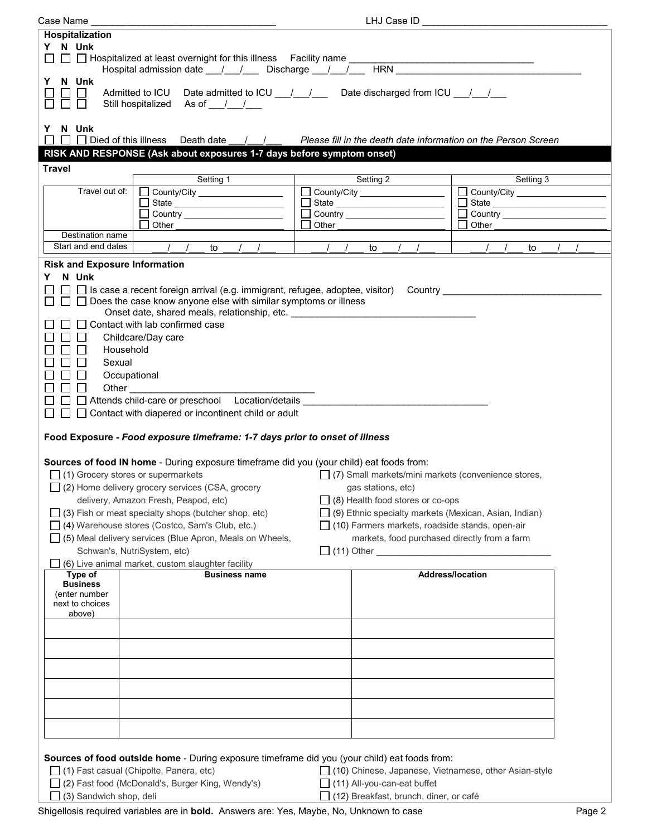| Case Name                                                                                                                                      | LHJ Case ID _                                                                                                                                                                       |               |                                                         |                                                                |  |
|------------------------------------------------------------------------------------------------------------------------------------------------|-------------------------------------------------------------------------------------------------------------------------------------------------------------------------------------|---------------|---------------------------------------------------------|----------------------------------------------------------------|--|
| <b>Hospitalization</b>                                                                                                                         |                                                                                                                                                                                     |               |                                                         |                                                                |  |
| Y N Unk                                                                                                                                        |                                                                                                                                                                                     |               |                                                         |                                                                |  |
|                                                                                                                                                | Hospital admission date <u>1/1/</u> Discharge 1/1/ HRN                                                                                                                              |               |                                                         |                                                                |  |
| N Unk<br>Y.<br>$\mathbf{L}$                                                                                                                    | Admitted to ICU Date admitted to ICU __/ __/ __ Date discharged from ICU __/ __/<br>Still hospitalized As of / /                                                                    |               |                                                         |                                                                |  |
| Y N Unk                                                                                                                                        |                                                                                                                                                                                     |               |                                                         |                                                                |  |
| $\Box$                                                                                                                                         | $\Box$ $\Box$ Died of this illness Death date / /                                                                                                                                   |               |                                                         | Please fill in the death date information on the Person Screen |  |
|                                                                                                                                                | RISK AND RESPONSE (Ask about exposures 1-7 days before symptom onset)                                                                                                               |               |                                                         |                                                                |  |
| <b>Travel</b>                                                                                                                                  |                                                                                                                                                                                     |               |                                                         |                                                                |  |
|                                                                                                                                                | Setting 1                                                                                                                                                                           |               | Setting 2                                               | Setting 3                                                      |  |
| Travel out of:                                                                                                                                 | County/City ___________________<br>$\mathbf{L}$                                                                                                                                     |               | County/City ____________________                        |                                                                |  |
|                                                                                                                                                |                                                                                                                                                                                     |               |                                                         |                                                                |  |
|                                                                                                                                                |                                                                                                                                                                                     |               |                                                         |                                                                |  |
| Destination name                                                                                                                               | Other                                                                                                                                                                               | Other         |                                                         | Other                                                          |  |
| Start and end dates                                                                                                                            | $\sqrt{2}$ to<br>$\left  \begin{array}{cc} \end{array} \right $                                                                                                                     | $\frac{1}{2}$ | to<br>$\sqrt{2}$<br>$\prime$                            | $\sqrt{2}$<br>to                                               |  |
| <b>Risk and Exposure Information</b>                                                                                                           |                                                                                                                                                                                     |               |                                                         |                                                                |  |
| N Unk<br>Y.                                                                                                                                    |                                                                                                                                                                                     |               |                                                         |                                                                |  |
|                                                                                                                                                | □ □ Is case a recent foreign arrival (e.g. immigrant, refugee, adoptee, visitor) Country ________________<br>$\Box$ Does the case know anyone else with similar symptoms or illness |               |                                                         |                                                                |  |
|                                                                                                                                                | Onset date, shared meals, relationship, etc. _________________                                                                                                                      |               |                                                         |                                                                |  |
|                                                                                                                                                | □ Contact with lab confirmed case                                                                                                                                                   |               |                                                         |                                                                |  |
| $\Box$<br>$\mathsf{L}$                                                                                                                         | Childcare/Day care                                                                                                                                                                  |               |                                                         |                                                                |  |
| $\Box$<br>l 1                                                                                                                                  | Household                                                                                                                                                                           |               |                                                         |                                                                |  |
| $\Box$<br>Sexual                                                                                                                               |                                                                                                                                                                                     |               |                                                         |                                                                |  |
| $\Box$<br>$\mathsf{L}$                                                                                                                         | Occupational                                                                                                                                                                        |               |                                                         |                                                                |  |
| $\square$ $\square$                                                                                                                            | <b>Other Community</b>                                                                                                                                                              |               |                                                         |                                                                |  |
|                                                                                                                                                | □ □ Attends child-care or preschool Location/details __________                                                                                                                     |               |                                                         |                                                                |  |
| $\Box$                                                                                                                                         | $\Box$ Contact with diapered or incontinent child or adult                                                                                                                          |               |                                                         |                                                                |  |
|                                                                                                                                                |                                                                                                                                                                                     |               |                                                         |                                                                |  |
|                                                                                                                                                | Food Exposure - Food exposure timeframe: 1-7 days prior to onset of illness                                                                                                         |               |                                                         |                                                                |  |
|                                                                                                                                                | Sources of food IN home - During exposure timeframe did you (your child) eat foods from:                                                                                            |               |                                                         |                                                                |  |
|                                                                                                                                                | $\Box$ (1) Grocery stores or supermarkets                                                                                                                                           |               |                                                         | $\Box$ (7) Small markets/mini markets (convenience stores,     |  |
|                                                                                                                                                | □ (2) Home delivery grocery services (CSA, grocery                                                                                                                                  |               | gas stations, etc)                                      |                                                                |  |
|                                                                                                                                                | delivery, Amazon Fresh, Peapod, etc)                                                                                                                                                |               | $\Box$ (8) Health food stores or co-ops                 |                                                                |  |
|                                                                                                                                                | $\Box$ (3) Fish or meat specialty shops (butcher shop, etc)                                                                                                                         |               |                                                         | □ (9) Ethnic specialty markets (Mexican, Asian, Indian)        |  |
|                                                                                                                                                | (4) Warehouse stores (Costco, Sam's Club, etc.)                                                                                                                                     |               |                                                         | $\Box$ (10) Farmers markets, roadside stands, open-air         |  |
|                                                                                                                                                |                                                                                                                                                                                     |               |                                                         |                                                                |  |
| $\Box$ (5) Meal delivery services (Blue Apron, Meals on Wheels,<br>markets, food purchased directly from a farm<br>Schwan's, NutriSystem, etc) |                                                                                                                                                                                     |               |                                                         |                                                                |  |
|                                                                                                                                                | (6) Live animal market, custom slaughter facility                                                                                                                                   |               |                                                         |                                                                |  |
| Type of                                                                                                                                        | <b>Business name</b>                                                                                                                                                                |               |                                                         | <b>Address/location</b>                                        |  |
| <b>Business</b><br>(enter number                                                                                                               |                                                                                                                                                                                     |               |                                                         |                                                                |  |
| next to choices                                                                                                                                |                                                                                                                                                                                     |               |                                                         |                                                                |  |
| above)                                                                                                                                         |                                                                                                                                                                                     |               |                                                         |                                                                |  |
|                                                                                                                                                |                                                                                                                                                                                     |               |                                                         |                                                                |  |
|                                                                                                                                                |                                                                                                                                                                                     |               |                                                         |                                                                |  |
|                                                                                                                                                |                                                                                                                                                                                     |               |                                                         |                                                                |  |
|                                                                                                                                                |                                                                                                                                                                                     |               |                                                         |                                                                |  |
|                                                                                                                                                |                                                                                                                                                                                     |               |                                                         |                                                                |  |
|                                                                                                                                                |                                                                                                                                                                                     |               |                                                         |                                                                |  |
|                                                                                                                                                |                                                                                                                                                                                     |               |                                                         |                                                                |  |
|                                                                                                                                                |                                                                                                                                                                                     |               |                                                         |                                                                |  |
|                                                                                                                                                | Sources of food outside home - During exposure timeframe did you (your child) eat foods from:                                                                                       |               |                                                         |                                                                |  |
| $\Box$ (1) Fast casual (Chipolte, Panera, etc)                                                                                                 |                                                                                                                                                                                     |               | □ (10) Chinese, Japanese, Vietnamese, other Asian-style |                                                                |  |
| (2) Fast food (McDonald's, Burger King, Wendy's)                                                                                               |                                                                                                                                                                                     |               | $\Box$ (11) All-you-can-eat buffet                      |                                                                |  |
| (3) Sandwich shop, deli                                                                                                                        |                                                                                                                                                                                     |               | $\Box$ (12) Breakfast, brunch, diner, or café           |                                                                |  |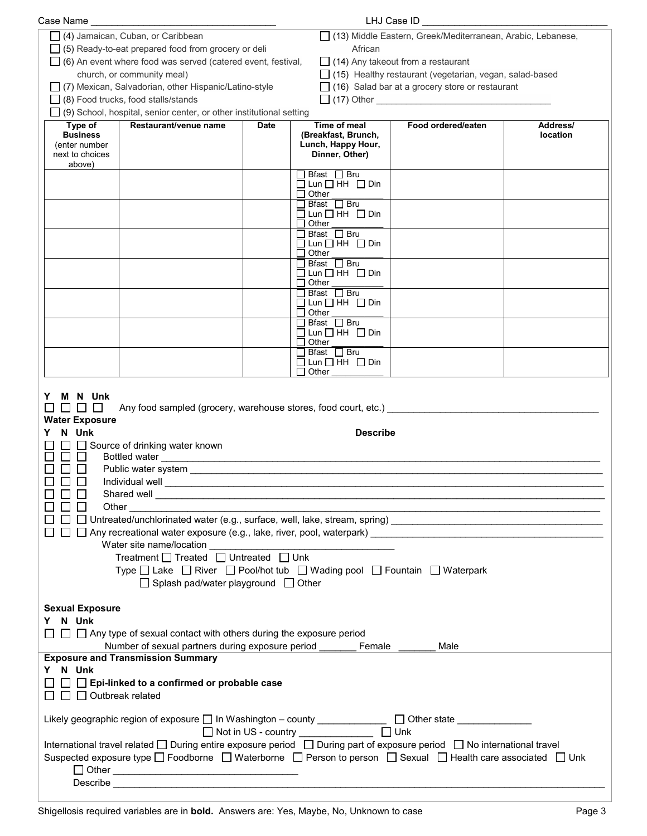| Case Name                                                                                                                                                                                                                                                                                                                                                                                                                                                                  |                                                                                                   |             |                                                   | LHJ Case ID                                                                                                 |                      |
|----------------------------------------------------------------------------------------------------------------------------------------------------------------------------------------------------------------------------------------------------------------------------------------------------------------------------------------------------------------------------------------------------------------------------------------------------------------------------|---------------------------------------------------------------------------------------------------|-------------|---------------------------------------------------|-------------------------------------------------------------------------------------------------------------|----------------------|
|                                                                                                                                                                                                                                                                                                                                                                                                                                                                            | (4) Jamaican, Cuban, or Caribbean                                                                 |             |                                                   | □ (13) Middle Eastern, Greek/Mediterranean, Arabic, Lebanese,                                               |                      |
|                                                                                                                                                                                                                                                                                                                                                                                                                                                                            | $\Box$ (5) Ready-to-eat prepared food from grocery or deli                                        |             | African                                           |                                                                                                             |                      |
|                                                                                                                                                                                                                                                                                                                                                                                                                                                                            | $\Box$ (6) An event where food was served (catered event, festival,<br>church, or community meal) |             |                                                   | $\Box$ (14) Any takeout from a restaurant<br>$\Box$ (15) Healthy restaurant (vegetarian, vegan, salad-based |                      |
|                                                                                                                                                                                                                                                                                                                                                                                                                                                                            | □ (7) Mexican, Salvadorian, other Hispanic/Latino-style                                           |             |                                                   | $\Box$ (16) Salad bar at a grocery store or restaurant                                                      |                      |
|                                                                                                                                                                                                                                                                                                                                                                                                                                                                            | $\Box$ (8) Food trucks, food stalls/stands                                                        |             |                                                   |                                                                                                             |                      |
|                                                                                                                                                                                                                                                                                                                                                                                                                                                                            | $\Box$ (9) School, hospital, senior center, or other institutional setting                        |             |                                                   |                                                                                                             |                      |
| Type of<br><b>Business</b>                                                                                                                                                                                                                                                                                                                                                                                                                                                 | Restaurant/venue name                                                                             | <b>Date</b> | Time of meal<br>(Breakfast, Brunch,               | Food ordered/eaten                                                                                          | Address/<br>location |
| (enter number                                                                                                                                                                                                                                                                                                                                                                                                                                                              |                                                                                                   |             | Lunch, Happy Hour,                                |                                                                                                             |                      |
| next to choices<br>above)                                                                                                                                                                                                                                                                                                                                                                                                                                                  |                                                                                                   |             | Dinner, Other)                                    |                                                                                                             |                      |
|                                                                                                                                                                                                                                                                                                                                                                                                                                                                            |                                                                                                   |             | $\Box$ Bfast $\Box$ Bru                           |                                                                                                             |                      |
|                                                                                                                                                                                                                                                                                                                                                                                                                                                                            |                                                                                                   |             | $\Box$ Lun $\Box$ HH $\Box$ Din<br>$\Box$ Other   |                                                                                                             |                      |
|                                                                                                                                                                                                                                                                                                                                                                                                                                                                            |                                                                                                   |             | $\Box$ Bfast $\Box$ Bru                           |                                                                                                             |                      |
|                                                                                                                                                                                                                                                                                                                                                                                                                                                                            |                                                                                                   |             | $\Box$ Lun $\Box$ HH $\Box$ Din<br>$\Box$ Other   |                                                                                                             |                      |
|                                                                                                                                                                                                                                                                                                                                                                                                                                                                            |                                                                                                   |             | $\Box$ Bfast $\Box$ Bru                           |                                                                                                             |                      |
|                                                                                                                                                                                                                                                                                                                                                                                                                                                                            |                                                                                                   |             | $\Box$ Lun $\Box$ HH $\Box$ Din<br>$\Box$ Other   |                                                                                                             |                      |
|                                                                                                                                                                                                                                                                                                                                                                                                                                                                            |                                                                                                   |             | $\Box$ Bfast $\Box$ Bru                           |                                                                                                             |                      |
|                                                                                                                                                                                                                                                                                                                                                                                                                                                                            |                                                                                                   |             | $\Box$ Lun $\Box$ HH $\Box$ Din<br>$\Box$ Other   |                                                                                                             |                      |
|                                                                                                                                                                                                                                                                                                                                                                                                                                                                            |                                                                                                   |             | $\Box$ Bfast $\Box$ Bru                           |                                                                                                             |                      |
|                                                                                                                                                                                                                                                                                                                                                                                                                                                                            |                                                                                                   |             | $\Box$ Lun $\Box$ HH $\Box$ Din<br>$\Box$ Other   |                                                                                                             |                      |
|                                                                                                                                                                                                                                                                                                                                                                                                                                                                            |                                                                                                   |             | $\Box$ Bfast $\Box$ Bru                           |                                                                                                             |                      |
|                                                                                                                                                                                                                                                                                                                                                                                                                                                                            |                                                                                                   |             | $\Box$ Lun $\Box$ HH $\Box$ Din<br>$\sqcup$ Other |                                                                                                             |                      |
|                                                                                                                                                                                                                                                                                                                                                                                                                                                                            |                                                                                                   |             | $\Box$ Bfast $\Box$ Bru                           |                                                                                                             |                      |
|                                                                                                                                                                                                                                                                                                                                                                                                                                                                            |                                                                                                   |             | $\Box$ Lun $\Box$ HH $\Box$ Din<br>$\Box$ Other   |                                                                                                             |                      |
| M N Unk<br>Y.<br>$\Box$<br>$\mathbb{R}^n$<br><b>Water Exposure</b><br>N Unk<br><b>Describe</b><br>Source of drinking water known<br>$\Box$<br>Individual well<br>Shared well<br>Other<br>Treatment □ Treated □ Untreated □ Unk<br>Type □ Lake □ River □ Pool/hot tub □ Wading pool □ Fountain □ Waterpark<br>□ Splash pad/water playground □ Other<br><b>Sexual Exposure</b><br>Y N Unk<br>$\Box$ $\Box$ Any type of sexual contact with others during the exposure period |                                                                                                   |             |                                                   |                                                                                                             |                      |
| Number of sexual partners during exposure period ______<br>Female<br>Male                                                                                                                                                                                                                                                                                                                                                                                                  |                                                                                                   |             |                                                   |                                                                                                             |                      |
| <b>Exposure and Transmission Summary</b><br>Y N Unk                                                                                                                                                                                                                                                                                                                                                                                                                        |                                                                                                   |             |                                                   |                                                                                                             |                      |
| $\Box$ Epi-linked to a confirmed or probable case                                                                                                                                                                                                                                                                                                                                                                                                                          |                                                                                                   |             |                                                   |                                                                                                             |                      |
| $\Box$ Outbreak related                                                                                                                                                                                                                                                                                                                                                                                                                                                    |                                                                                                   |             |                                                   |                                                                                                             |                      |
| Likely geographic region of exposure □ In Washington - county _____________ □ Other state __________<br>$\Box$ Unk<br>□ Not in US - country ______________                                                                                                                                                                                                                                                                                                                 |                                                                                                   |             |                                                   |                                                                                                             |                      |
| International travel related □ During entire exposure period □ During part of exposure period □ No international travel                                                                                                                                                                                                                                                                                                                                                    |                                                                                                   |             |                                                   |                                                                                                             |                      |
| Suspected exposure type □ Foodborne □ Waterborne □ Person to person □ Sexual □ Health care associated □ Unk                                                                                                                                                                                                                                                                                                                                                                |                                                                                                   |             |                                                   |                                                                                                             |                      |
|                                                                                                                                                                                                                                                                                                                                                                                                                                                                            |                                                                                                   |             |                                                   |                                                                                                             |                      |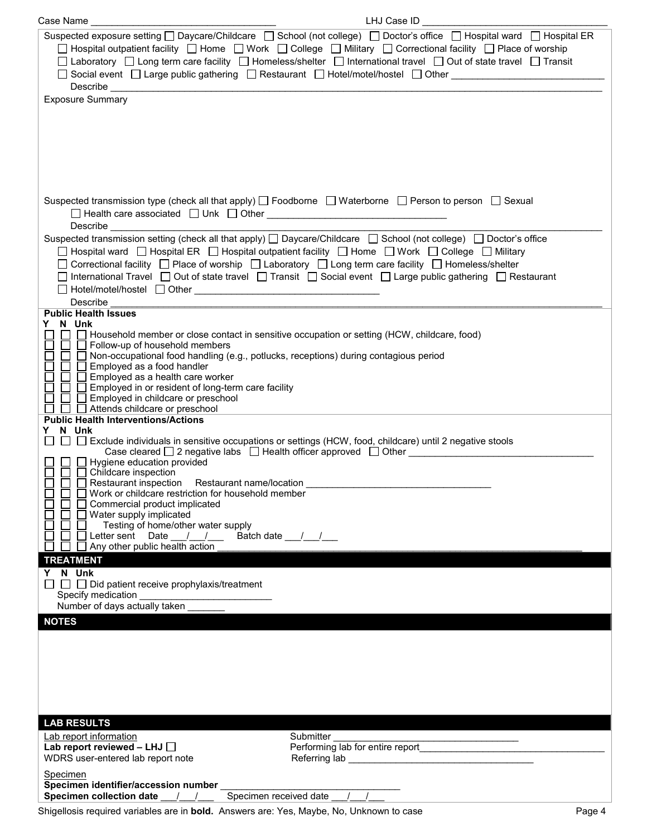| Case Name                                                                                                                                                                                                                                                                                                                                                                                                                                              | LHJ Case ID _                                                                                                                                                                                                                                                                                                                                                                                                                                  |
|--------------------------------------------------------------------------------------------------------------------------------------------------------------------------------------------------------------------------------------------------------------------------------------------------------------------------------------------------------------------------------------------------------------------------------------------------------|------------------------------------------------------------------------------------------------------------------------------------------------------------------------------------------------------------------------------------------------------------------------------------------------------------------------------------------------------------------------------------------------------------------------------------------------|
| <b>Exposure Summary</b>                                                                                                                                                                                                                                                                                                                                                                                                                                | Suspected exposure setting □ Daycare/Childcare □ School (not college) □ Doctor's office □ Hospital ward □ Hospital ER<br>□ Hospital outpatient facility □ Home □ Work □ College □ Military □ Correctional facility □ Place of worship<br>□ Laboratory □ Long term care facility □ Homeless/shelter □ International travel □ Out of state travel □ Transit<br>□ Social event □ Large public gathering □ Restaurant □ Hotel/motel/hostel □ Other |
|                                                                                                                                                                                                                                                                                                                                                                                                                                                        | Suspected transmission type (check all that apply) $\Box$ Foodborne $\Box$ Waterborne $\Box$ Person to person $\Box$ Sexual                                                                                                                                                                                                                                                                                                                    |
| Describe                                                                                                                                                                                                                                                                                                                                                                                                                                               | Suspected transmission setting (check all that apply) □ Daycare/Childcare □ School (not college) □ Doctor's office<br>□ Hospital ward □ Hospital ER □ Hospital outpatient facility □ Home □ Work □ College □ Military<br>□ Correctional facility □ Place of worship □ Laboratory □ Long term care facility □ Homeless/shelter<br>□ International Travel □ Out of state travel □ Transit □ Social event □ Large public gathering □ Restaurant   |
| <b>Public Health Issues</b>                                                                                                                                                                                                                                                                                                                                                                                                                            |                                                                                                                                                                                                                                                                                                                                                                                                                                                |
| N Unk<br>□ □ Household member or close contact in sensitive occupation or setting (HCW, childcare, food)<br>□ Follow-up of household members<br>□ Non-occupational food handling (e.g., potlucks, receptions) during contagious period<br>Employed as a food handler<br>$\Box$ Employed as a health care worker<br>□ Employed in or resident of long-term care facility<br>Employed in childcare or preschool<br>$\Box$ Attends childcare or preschool |                                                                                                                                                                                                                                                                                                                                                                                                                                                |
| <b>Public Health Interventions/Actions</b>                                                                                                                                                                                                                                                                                                                                                                                                             |                                                                                                                                                                                                                                                                                                                                                                                                                                                |
| Y N Unk<br>Hygiene education provided<br>$\Box$ $\Box$ Childcare inspection<br>Restaurant inspection Restaurant name/location<br>Work or childcare restriction for household member<br>Commercial product implicated<br>Water supply implicated<br>Testing of home/other water supply<br>Letter sent Date 1 1 1 Batch date 1 1<br>Any other public health action<br><b>TREATMENT</b>                                                                   | □ □ Exclude individuals in sensitive occupations or settings (HCW, food, childcare) until 2 negative stools<br>Case cleared □ 2 negative labs □ Health officer approved □ Other                                                                                                                                                                                                                                                                |
| Y N Unk                                                                                                                                                                                                                                                                                                                                                                                                                                                |                                                                                                                                                                                                                                                                                                                                                                                                                                                |
| $\Box$ $\Box$<br>$\Box$ Did patient receive prophylaxis/treatment<br>Specify medication                                                                                                                                                                                                                                                                                                                                                                |                                                                                                                                                                                                                                                                                                                                                                                                                                                |
| Number of days actually taken                                                                                                                                                                                                                                                                                                                                                                                                                          |                                                                                                                                                                                                                                                                                                                                                                                                                                                |
| <b>NOTES</b>                                                                                                                                                                                                                                                                                                                                                                                                                                           |                                                                                                                                                                                                                                                                                                                                                                                                                                                |
| <b>LAB RESULTS</b>                                                                                                                                                                                                                                                                                                                                                                                                                                     |                                                                                                                                                                                                                                                                                                                                                                                                                                                |
| Lab report information<br>Lab report reviewed - LHJ $\Box$<br>WDRS user-entered lab report note                                                                                                                                                                                                                                                                                                                                                        | Submitter<br>Performing lab for entire report<br>Referring lab entitled and the control of the control of the control of the control of the control of the control of the control of the control of the control of the control of the control of the control of the control of                                                                                                                                                                 |
| Specimen                                                                                                                                                                                                                                                                                                                                                                                                                                               |                                                                                                                                                                                                                                                                                                                                                                                                                                                |
| Specimen identifier/accession number<br>Specimen received date<br>Specimen collection date<br>$\frac{1}{2}$                                                                                                                                                                                                                                                                                                                                            |                                                                                                                                                                                                                                                                                                                                                                                                                                                |

Shigellosis required variables are in **bold.** Answers are: Yes, Maybe, No, Unknown to case Page 4